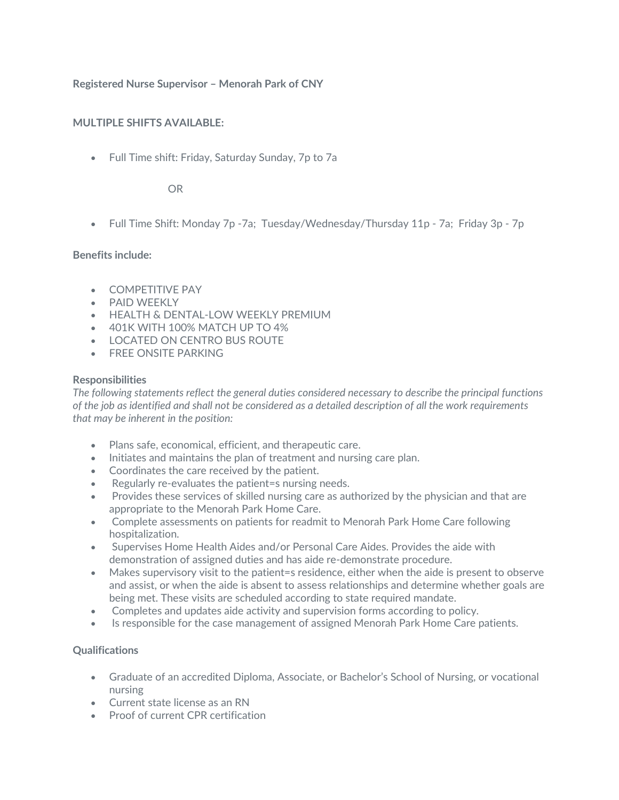# **Registered Nurse Supervisor – Menorah Park of CNY**

## **MULTIPLE SHIFTS AVAILABLE:**

• Full Time shift: Friday, Saturday Sunday, 7p to 7a

## OR

• Full Time Shift: Monday 7p -7a; Tuesday/Wednesday/Thursday 11p - 7a; Friday 3p - 7p

## **Benefits include:**

- COMPETITIVE PAY
- PAID WEEKLY
- HEALTH & DENTAL-LOW WEEKLY PREMIUM
- 401K WITH 100% MATCH UP TO 4%
- LOCATED ON CENTRO BUS ROUTE
- FREE ONSITE PARKING

## **Responsibilities**

*The following statements reflect the general duties considered necessary to describe the principal functions of the job as identified and shall not be considered as a detailed description of all the work requirements that may be inherent in the position:*

- Plans safe, economical, efficient, and therapeutic care.
- Initiates and maintains the plan of treatment and nursing care plan.
- Coordinates the care received by the patient.
- Regularly re-evaluates the patient=s nursing needs.
- Provides these services of skilled nursing care as authorized by the physician and that are appropriate to the Menorah Park Home Care.
- Complete assessments on patients for readmit to Menorah Park Home Care following hospitalization.
- Supervises Home Health Aides and/or Personal Care Aides. Provides the aide with demonstration of assigned duties and has aide re-demonstrate procedure.
- Makes supervisory visit to the patient=s residence, either when the aide is present to observe and assist, or when the aide is absent to assess relationships and determine whether goals are being met. These visits are scheduled according to state required mandate.
- Completes and updates aide activity and supervision forms according to policy.
- Is responsible for the case management of assigned Menorah Park Home Care patients.

## **Qualifications**

- Graduate of an accredited Diploma, Associate, or Bachelor's School of Nursing, or vocational nursing
- Current state license as an RN
- Proof of current CPR certification